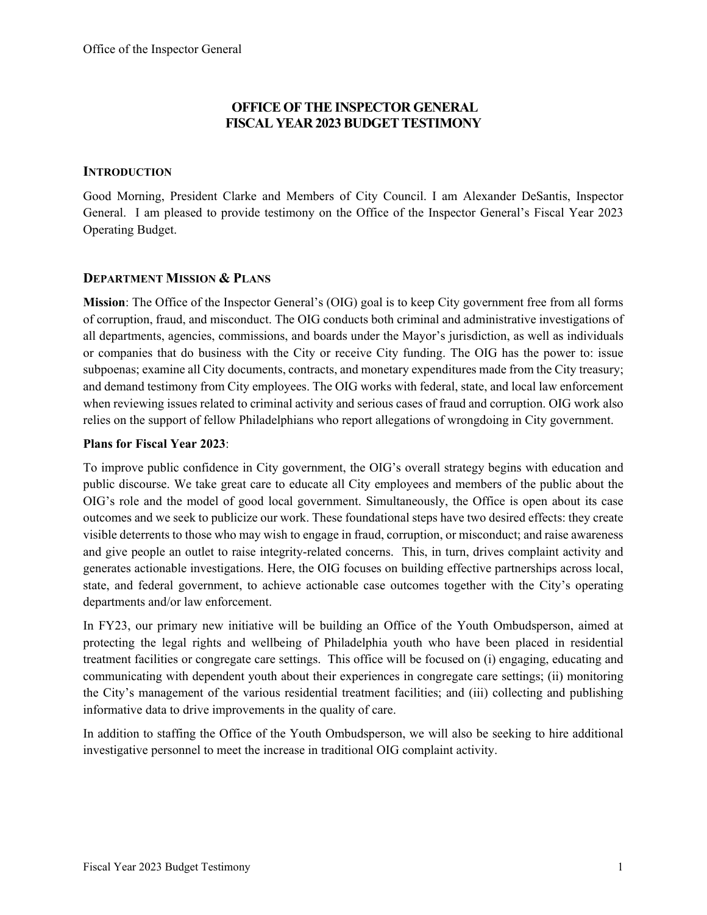## **OFFICE OF THE INSPECTOR GENERAL FISCAL YEAR 2023 BUDGET TESTIMONY**

### **INTRODUCTION**

Good Morning, President Clarke and Members of City Council. I am Alexander DeSantis, Inspector General. I am pleased to provide testimony on the Office of the Inspector General's Fiscal Year 2023 Operating Budget.

### **DEPARTMENT MISSION & PLANS**

**Mission**: The Office of the Inspector General's (OIG) goal is to keep City government free from all forms of corruption, fraud, and misconduct. The OIG conducts both criminal and administrative investigations of all departments, agencies, commissions, and boards under the Mayor's jurisdiction, as well as individuals or companies that do business with the City or receive City funding. The OIG has the power to: issue subpoenas; examine all City documents, contracts, and monetary expenditures made from the City treasury; and demand testimony from City employees. The OIG works with federal, state, and local law enforcement when reviewing issues related to criminal activity and serious cases of fraud and corruption. OIG work also relies on the support of fellow Philadelphians who report allegations of wrongdoing in City government.

### **Plans for Fiscal Year 2023**:

To improve public confidence in City government, the OIG's overall strategy begins with education and public discourse. We take great care to educate all City employees and members of the public about the OIG's role and the model of good local government. Simultaneously, the Office is open about its case outcomes and we seek to publicize our work. These foundational steps have two desired effects: they create visible deterrents to those who may wish to engage in fraud, corruption, or misconduct; and raise awareness and give people an outlet to raise integrity-related concerns. This, in turn, drives complaint activity and generates actionable investigations. Here, the OIG focuses on building effective partnerships across local, state, and federal government, to achieve actionable case outcomes together with the City's operating departments and/or law enforcement.

In FY23, our primary new initiative will be building an Office of the Youth Ombudsperson, aimed at protecting the legal rights and wellbeing of Philadelphia youth who have been placed in residential treatment facilities or congregate care settings. This office will be focused on (i) engaging, educating and communicating with dependent youth about their experiences in congregate care settings; (ii) monitoring the City's management of the various residential treatment facilities; and (iii) collecting and publishing informative data to drive improvements in the quality of care.

In addition to staffing the Office of the Youth Ombudsperson, we will also be seeking to hire additional investigative personnel to meet the increase in traditional OIG complaint activity.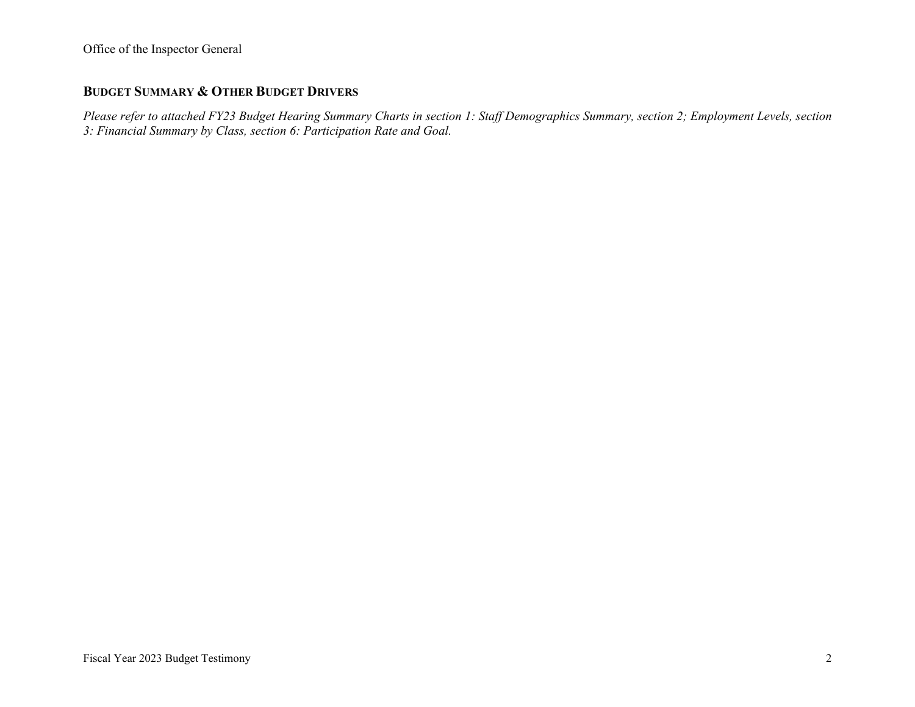## **BUDGET SUMMARY & OTHER BUDGET DRIVERS**

*Please refer to attached FY23 Budget Hearing Summary Charts in section 1: Staff Demographics Summary, section 2; Employment Levels, section 3: Financial Summary by Class, section 6: Participation Rate and Goal.*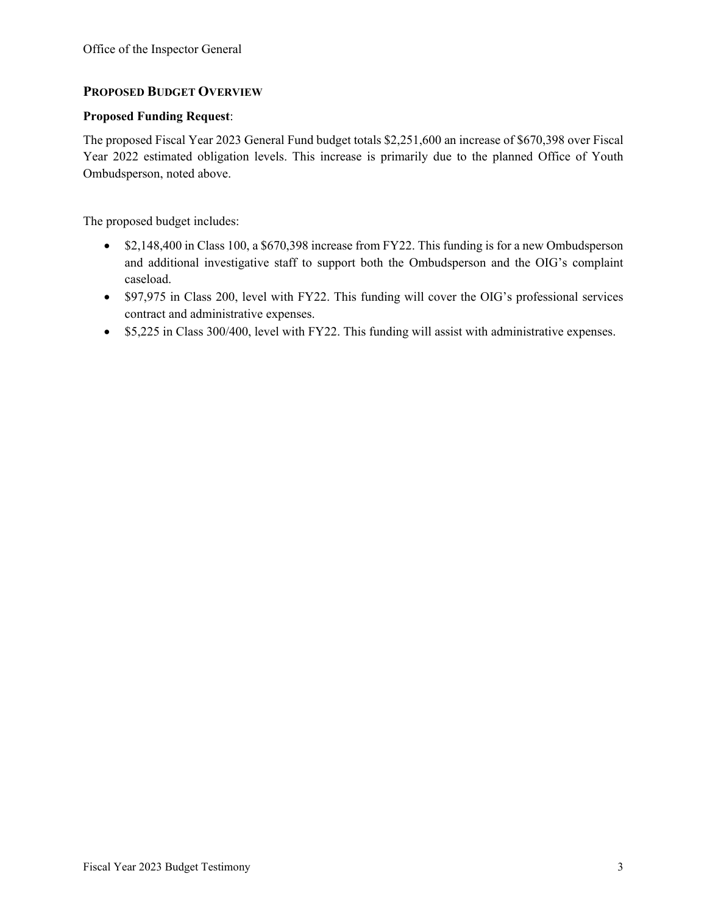## **PROPOSED BUDGET OVERVIEW**

#### **Proposed Funding Request**:

The proposed Fiscal Year 2023 General Fund budget totals \$2,251,600 an increase of \$670,398 over Fiscal Year 2022 estimated obligation levels. This increase is primarily due to the planned Office of Youth Ombudsperson, noted above.

The proposed budget includes:

- \$2,148,400 in Class 100, a \$670,398 increase from FY22. This funding is for a new Ombudsperson and additional investigative staff to support both the Ombudsperson and the OIG's complaint caseload.
- \$97,975 in Class 200, level with FY22. This funding will cover the OIG's professional services contract and administrative expenses.
- \$5,225 in Class 300/400, level with FY22. This funding will assist with administrative expenses.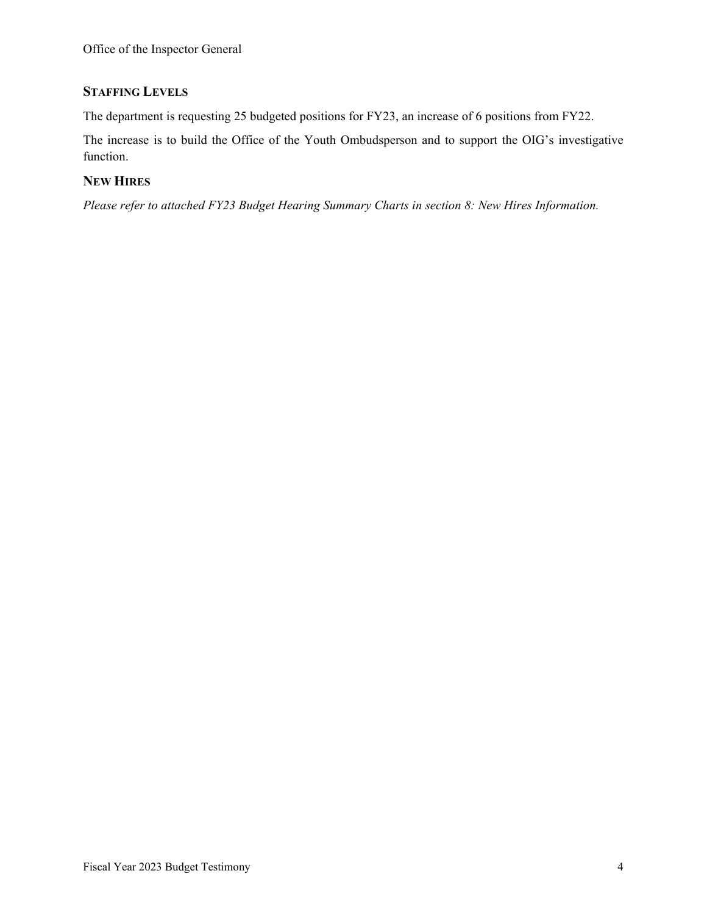# **STAFFING LEVELS**

The department is requesting 25 budgeted positions for FY23, an increase of 6 positions from FY22.

The increase is to build the Office of the Youth Ombudsperson and to support the OIG's investigative function.

## **NEW HIRES**

*Please refer to attached FY23 Budget Hearing Summary Charts in section 8: New Hires Information.*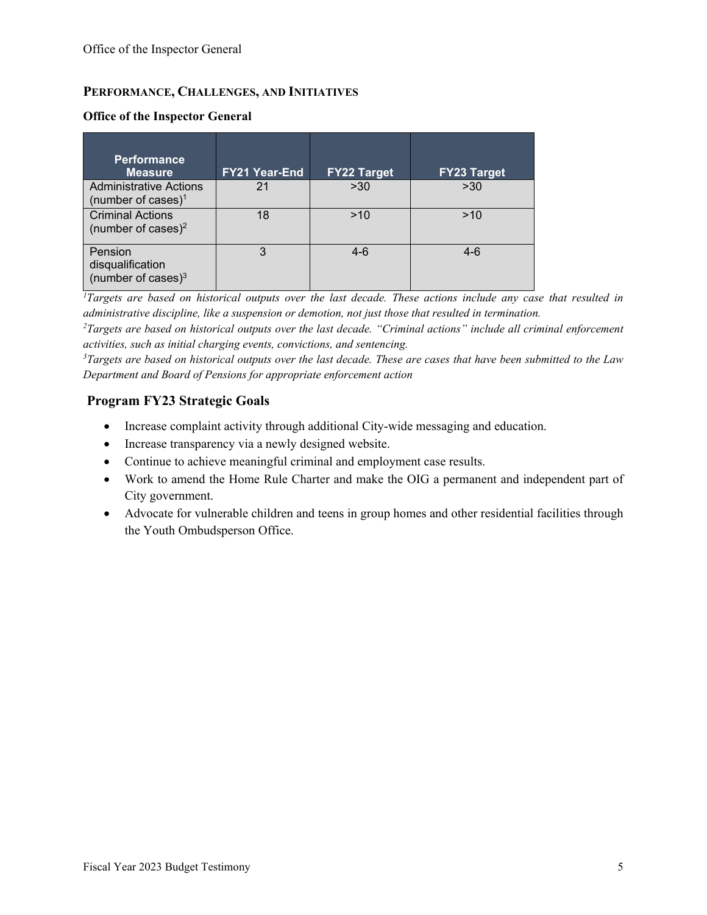## **PERFORMANCE, CHALLENGES, AND INITIATIVES**

| <b>Performance</b><br><b>Measure</b>                            | <b>FY21 Year-End</b> | <b>FY22 Target</b> | <b>FY23 Target</b> |
|-----------------------------------------------------------------|----------------------|--------------------|--------------------|
| <b>Administrative Actions</b><br>(number of cases) <sup>1</sup> | 21                   | >30                | >30                |
| <b>Criminal Actions</b><br>(number of cases) <sup>2</sup>       | 18                   | >10                | >10                |
| Pension<br>disqualification<br>(number of cases) $3$            | 3                    | 4-6                | $4-6$              |

#### **Office of the Inspector General**

<sup>1</sup>*Targets are based on historical outputs over the last decade. These actions include any case that resulted in administrative discipline, like a suspension or demotion, not just those that resulted in termination.* 

*<sup>2</sup>Targets are based on historical outputs over the last decade. "Criminal actions" include all criminal enforcement activities, such as initial charging events, convictions, and sentencing.* 

*<sup>3</sup>Targets are based on historical outputs over the last decade. These are cases that have been submitted to the Law Department and Board of Pensions for appropriate enforcement action*

## **Program FY23 Strategic Goals**

- Increase complaint activity through additional City-wide messaging and education.
- Increase transparency via a newly designed website.
- Continue to achieve meaningful criminal and employment case results.
- Work to amend the Home Rule Charter and make the OIG a permanent and independent part of City government.
- Advocate for vulnerable children and teens in group homes and other residential facilities through the Youth Ombudsperson Office.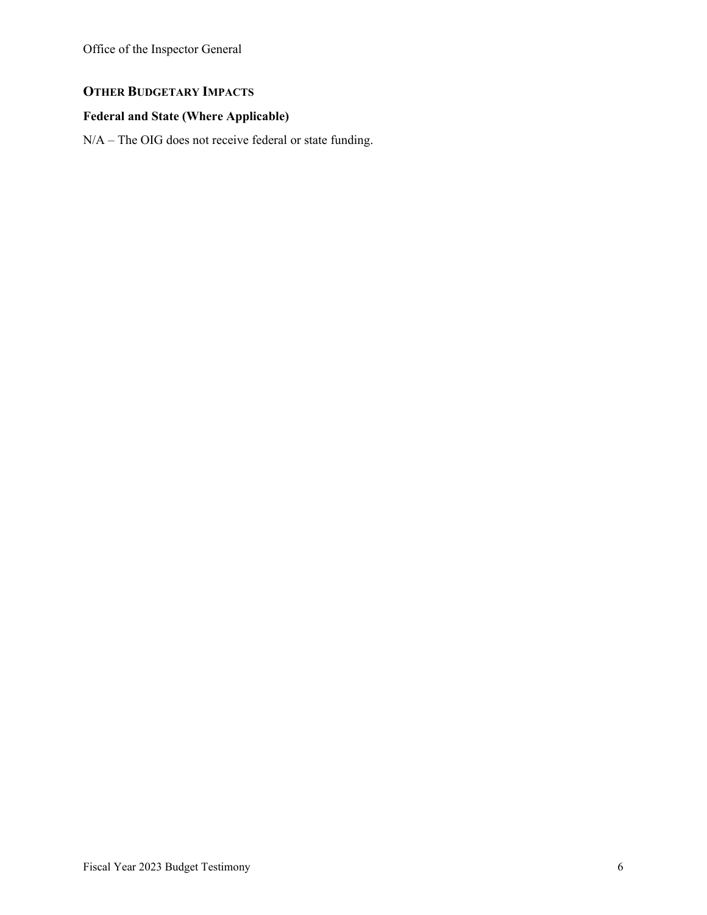Office of the Inspector General

# **OTHER BUDGETARY IMPACTS**

# **Federal and State (Where Applicable)**

N/A – The OIG does not receive federal or state funding.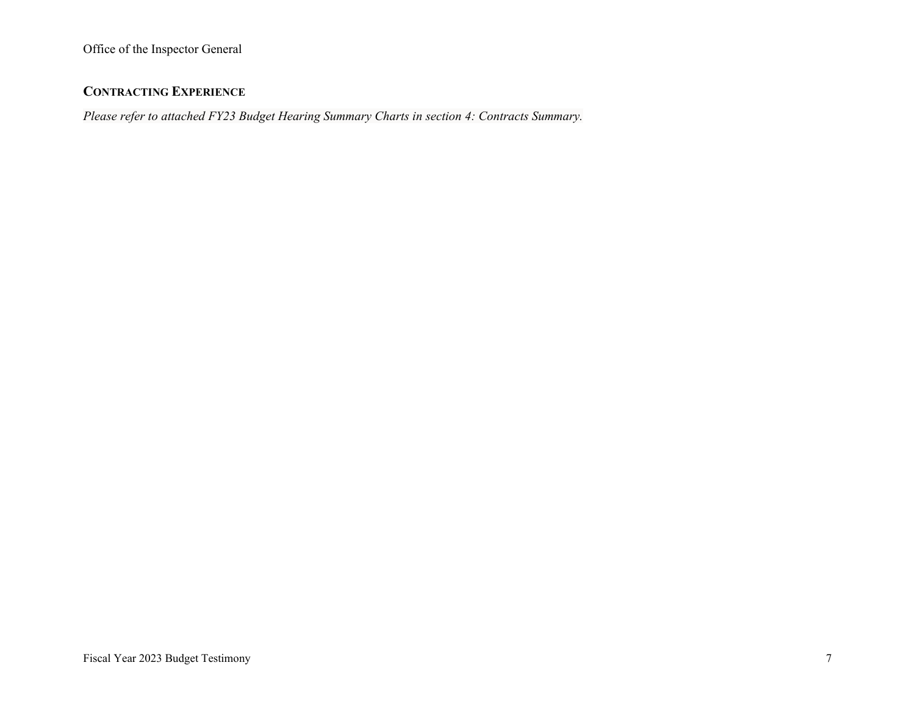## **CONTRACTING EXPERIENCE**

*Please refer to attached FY23 Budget Hearing Summary Charts in section 4: Contracts Summary.*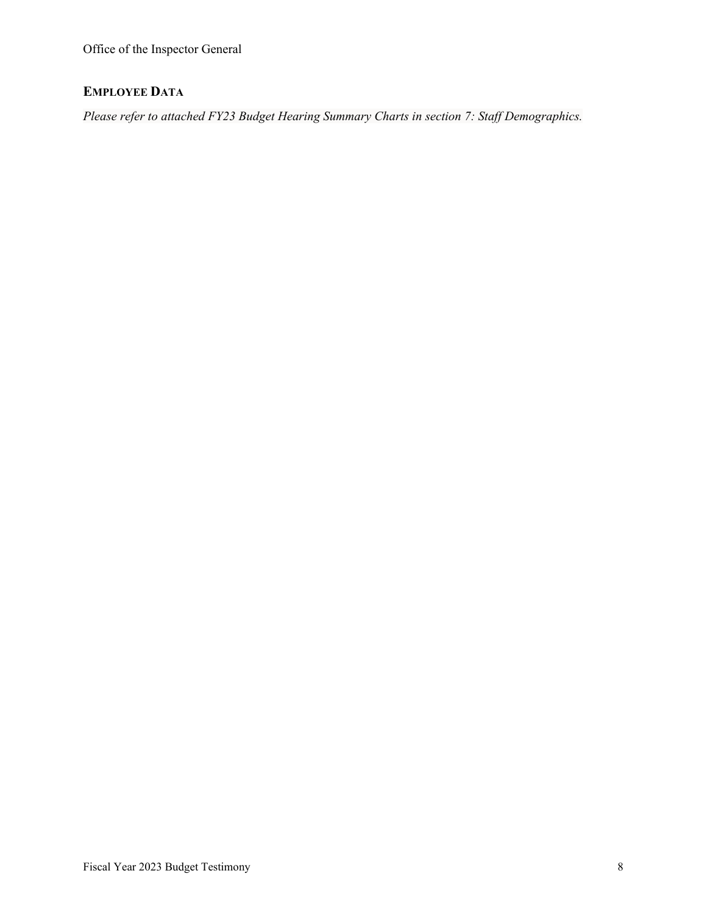Office of the Inspector General

# **EMPLOYEE DATA**

*Please refer to attached FY23 Budget Hearing Summary Charts in section 7: Staff Demographics.*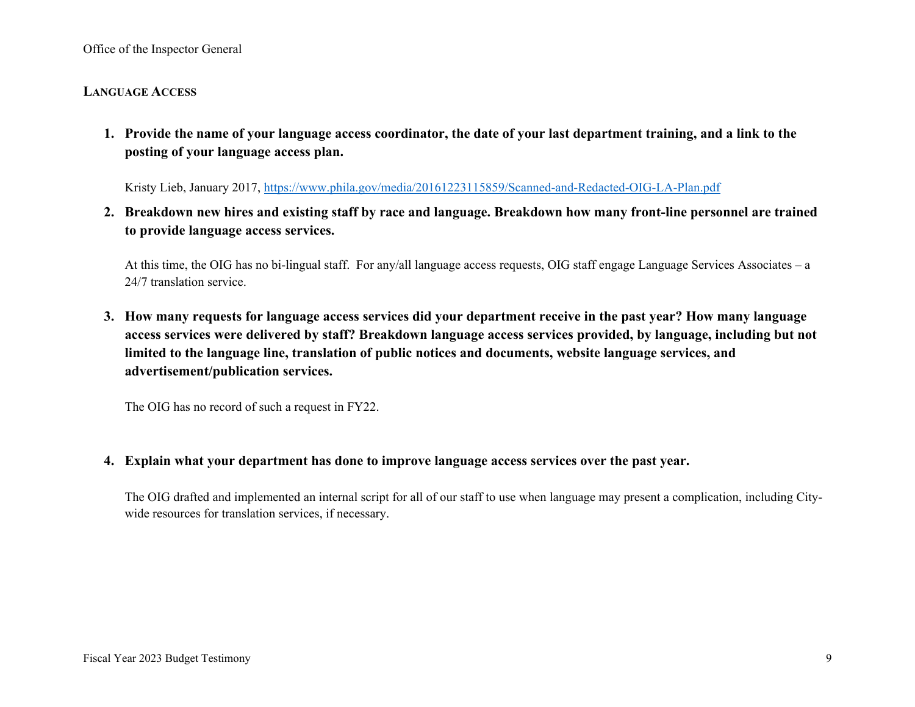Office of the Inspector General

### **LANGUAGE ACCESS**

**1. Provide the name of your language access coordinator, the date of your last department training, and a link to the posting of your language access plan.** 

Kristy Lieb, January 2017,<https://www.phila.gov/media/20161223115859/Scanned-and-Redacted-OIG-LA-Plan.pdf>

**2. Breakdown new hires and existing staff by race and language. Breakdown how many front-line personnel are trained to provide language access services.**

At this time, the OIG has no bi-lingual staff. For any/all language access requests, OIG staff engage Language Services Associates – a 24/7 translation service.

**3. How many requests for language access services did your department receive in the past year? How many language access services were delivered by staff? Breakdown language access services provided, by language, including but not limited to the language line, translation of public notices and documents, website language services, and advertisement/publication services.**

The OIG has no record of such a request in FY22.

### **4. Explain what your department has done to improve language access services over the past year.**

The OIG drafted and implemented an internal script for all of our staff to use when language may present a complication, including Citywide resources for translation services, if necessary.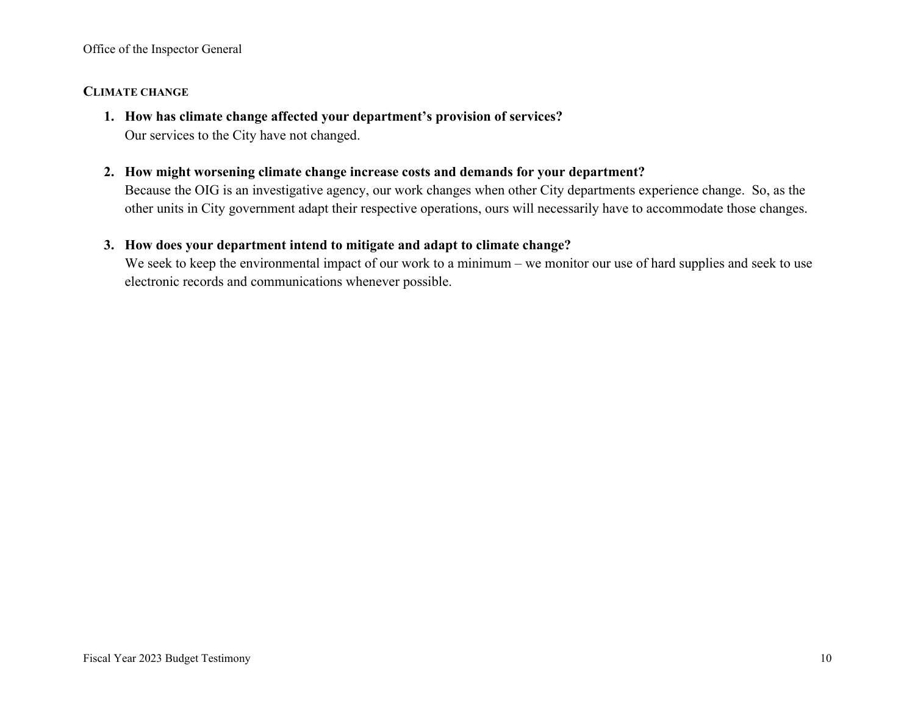### **CLIMATE CHANGE**

- **1. How has climate change affected your department's provision of services?** Our services to the City have not changed.
- **2. How might worsening climate change increase costs and demands for your department?**

Because the OIG is an investigative agency, our work changes when other City departments experience change. So, as the other units in City government adapt their respective operations, ours will necessarily have to accommodate those changes.

## **3. How does your department intend to mitigate and adapt to climate change?**

We seek to keep the environmental impact of our work to a minimum – we monitor our use of hard supplies and seek to use electronic records and communications whenever possible.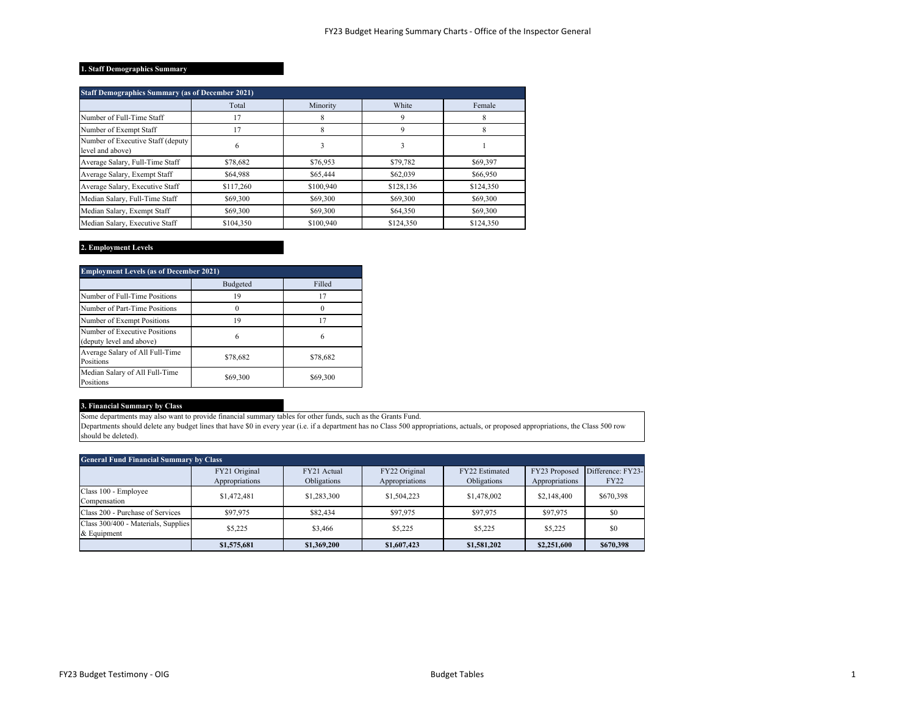#### **1. Staff Demographics Summary**

| <b>Staff Demographics Summary (as of December 2021)</b> |           |           |           |           |  |  |  |
|---------------------------------------------------------|-----------|-----------|-----------|-----------|--|--|--|
|                                                         | Total     | Minority  | White     | Female    |  |  |  |
| Number of Full-Time Staff                               | 17        | 8         | 9         | 8         |  |  |  |
| Number of Exempt Staff                                  | 17        | 8         | 9         | 8         |  |  |  |
| Number of Executive Staff (deputy)<br>level and above)  | 6         | 3         | 3         |           |  |  |  |
| Average Salary, Full-Time Staff                         | \$78,682  | \$76,953  | \$79,782  | \$69,397  |  |  |  |
| Average Salary, Exempt Staff                            | \$64,988  | \$65,444  | \$62,039  | \$66,950  |  |  |  |
| Average Salary, Executive Staff                         | \$117,260 | \$100,940 | \$128,136 | \$124,350 |  |  |  |
| Median Salary, Full-Time Staff                          | \$69,300  | \$69,300  | \$69,300  | \$69,300  |  |  |  |
| Median Salary, Exempt Staff                             | \$69,300  | \$69,300  | \$64,350  | \$69,300  |  |  |  |
| Median Salary, Executive Staff                          | \$104,350 | \$100,940 | \$124,350 | \$124,350 |  |  |  |

#### **2. Employment Levels**

| <b>Employment Levels (as of December 2021)</b>            |          |          |  |  |  |  |
|-----------------------------------------------------------|----------|----------|--|--|--|--|
|                                                           | Budgeted | Filled   |  |  |  |  |
| Number of Full-Time Positions                             | 19       | 17       |  |  |  |  |
| Number of Part-Time Positions                             |          |          |  |  |  |  |
| Number of Exempt Positions                                | 19       | 17       |  |  |  |  |
| Number of Executive Positions<br>(deputy level and above) | 6        | 6        |  |  |  |  |
| Average Salary of All Full-Time<br>Positions              | \$78,682 | \$78,682 |  |  |  |  |
| Median Salary of All Full-Time<br>Positions               | \$69,300 | \$69,300 |  |  |  |  |

#### **3. Financial Summary by Class**

Some departments may also want to provide financial summary tables for other funds, such as the Grants Fund.

Departments should delete any budget lines that have \$0 in every year (i.e. if a department has no Class 500 appropriations, actuals, or proposed appropriations, the Class 500 row should be deleted).

| <b>General Fund Financial Summary by Class</b>     |                                 |                            |                                 |                               |                                 |                                  |  |
|----------------------------------------------------|---------------------------------|----------------------------|---------------------------------|-------------------------------|---------------------------------|----------------------------------|--|
|                                                    | FY21 Original<br>Appropriations | FY21 Actual<br>Obligations | FY22 Original<br>Appropriations | FY22 Estimated<br>Obligations | FY23 Proposed<br>Appropriations | Difference: FY23-<br><b>FY22</b> |  |
| Class 100 - Employee<br>Compensation               | \$1,472,481                     | \$1,283,300                | \$1,504,223                     | \$1,478,002                   | \$2,148,400                     | \$670,398                        |  |
| Class 200 - Purchase of Services                   | \$97,975                        | \$82,434                   | \$97,975                        | \$97,975                      | \$97,975                        | \$0                              |  |
| Class 300/400 - Materials, Supplies<br>& Equipment | \$5,225                         | \$3,466                    | \$5,225                         | \$5,225                       | \$5,225                         | \$0                              |  |
|                                                    | \$1,575,681                     | \$1,369,200                | \$1,607,423                     | \$1,581,202                   | \$2,251,600                     | \$670,398                        |  |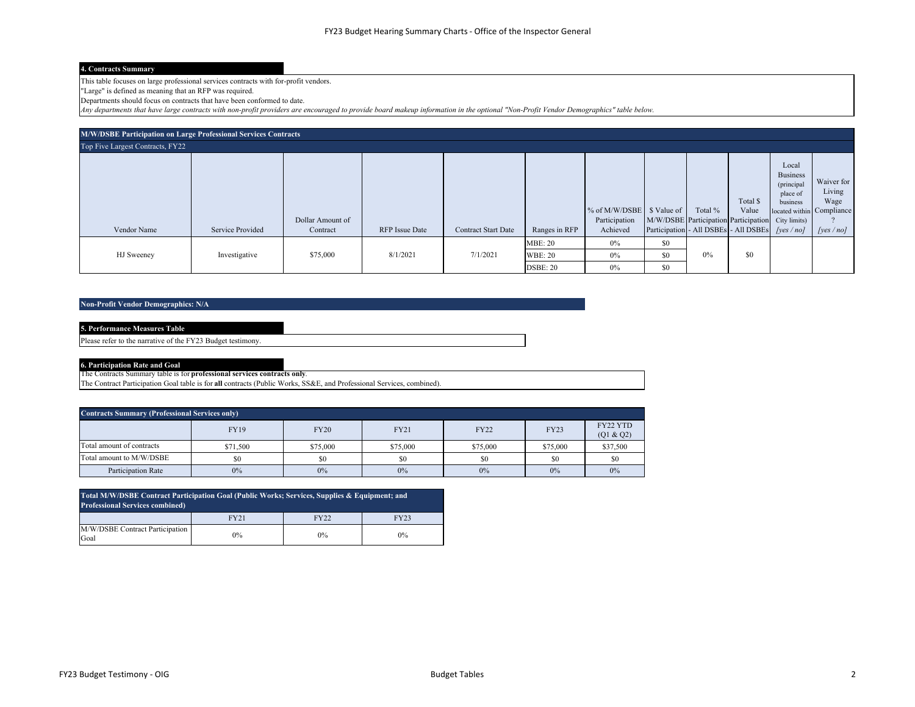#### **4. Contracts Summary**

This table focuses on large professional services contracts with for-profit vendors.

"Large" is defined as meaning that an RFP was required.

Departments should focus on contracts that have been conformed to date.

*Any departments that have large contracts with non-profit providers are encouraged to provide board makeup information in the optional "Non-Profit Vendor Demographics" table below.*

| <b>M/W/DSBE Participation on Large Professional Services Contracts</b> |                  |                  |                |                            |                                  |                                |                                                                  |         |                   |                                                                                             |                              |
|------------------------------------------------------------------------|------------------|------------------|----------------|----------------------------|----------------------------------|--------------------------------|------------------------------------------------------------------|---------|-------------------|---------------------------------------------------------------------------------------------|------------------------------|
| Top Five Largest Contracts, FY22                                       |                  |                  |                |                            |                                  |                                |                                                                  |         |                   |                                                                                             |                              |
|                                                                        |                  | Dollar Amount of |                |                            |                                  | % of M/W/DSBE<br>Participation | \$ Value of<br>M/W/DSBE Participation Participation City limits) | Total % | Total \$<br>Value | Local<br><b>Business</b><br>(principal<br>place of<br>business<br>located within Compliance | Waiver for<br>Living<br>Wage |
| Vendor Name                                                            | Service Provided | Contract         | RFP Issue Date | <b>Contract Start Date</b> | Ranges in RFP                    | Achieved                       | Participation - All DSBEs - All DSBEs /ves/nol                   |         |                   |                                                                                             | [ves/no]                     |
| HJ Sweeney                                                             | Investigative    | \$75,000         | 8/1/2021       | 7/1/2021                   | <b>MBE: 20</b><br><b>WBE: 20</b> | 0%<br>0%                       | \$0<br>\$0                                                       | 0%      | \$0               |                                                                                             |                              |
|                                                                        |                  |                  |                |                            | DSBE: 20                         | $0\%$                          | \$0                                                              |         |                   |                                                                                             |                              |

#### **Non-Profit Vendor Demographics: N/A**

| <b>5. Performance Measures Table</b>                        |  |
|-------------------------------------------------------------|--|
| Please refer to the narrative of the FY23 Budget testimony. |  |
|                                                             |  |

**6. Participation Rate and Goal**

The Contracts Summary table is for **professional services contracts only**.

The Contract Participation Goal table is for **all** contracts (Public Works, SS&E, and Professional Services, combined).

| <b>Contracts Summary (Professional Services only)</b> |             |             |             |             |             |                       |  |  |
|-------------------------------------------------------|-------------|-------------|-------------|-------------|-------------|-----------------------|--|--|
|                                                       | <b>FY19</b> | <b>FY20</b> | <b>FY21</b> | <b>FY22</b> | <b>FY23</b> | FY22 YTD<br>(Q1 & Q2) |  |  |
| Total amount of contracts                             | \$71,500    | \$75,000    | \$75,000    | \$75,000    | \$75,000    | \$37,500              |  |  |
| Total amount to M/W/DSBE                              | \$0         | \$0         | \$0         | \$0         | \$0         | \$0                   |  |  |
| Participation Rate                                    | 0%          | 0%          | 0%          | 0%          | 0%          | 0%                    |  |  |

| Total M/W/DSBE Contract Participation Goal (Public Works; Services, Supplies & Equipment; and<br><b>Professional Services combined)</b> |       |       |       |  |  |  |  |
|-----------------------------------------------------------------------------------------------------------------------------------------|-------|-------|-------|--|--|--|--|
|                                                                                                                                         | FY21  | FY22  | FY23  |  |  |  |  |
| M/W/DSBE Contract Participation<br>Goal                                                                                                 | $0\%$ | $0\%$ | $0\%$ |  |  |  |  |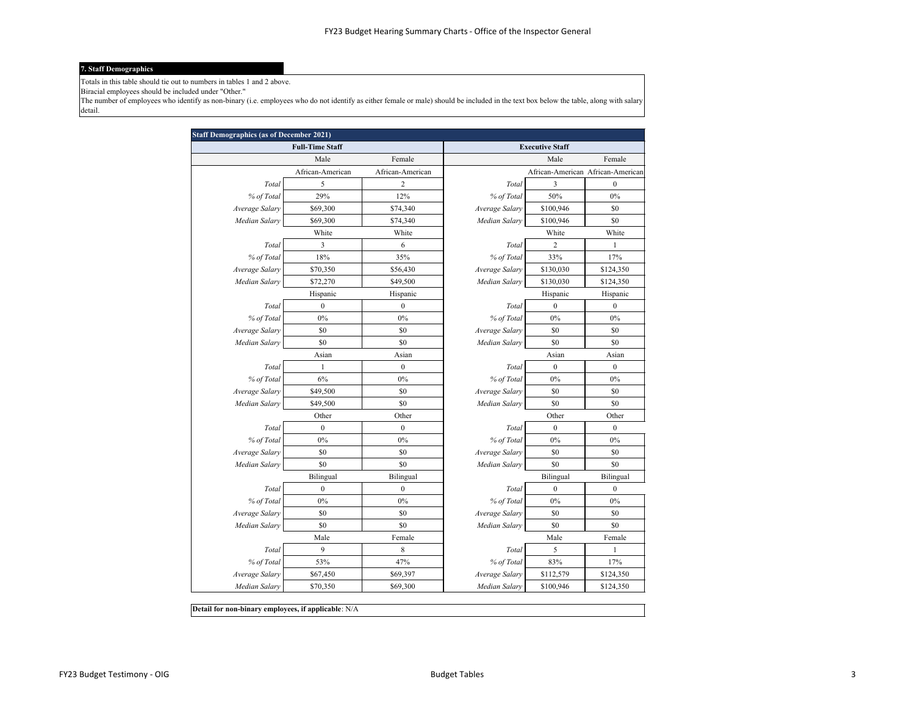#### **7. Staff Demographics**

Totals in this table should tie out to numbers in tables 1 and 2 above.

Biracial employees should be included under "Other."

The number of employees who identify as non-binary (i.e. employees who do not identify as either female or male) should be included in the text box below the table, along with salary detail.

|                | <b>Full-Time Staff</b> |                  |                | <b>Executive Staff</b>            |                  |
|----------------|------------------------|------------------|----------------|-----------------------------------|------------------|
|                | Male                   | Female           |                | Male                              | Female           |
|                | African-American       | African-American |                | African-American African-American |                  |
| Total          | 5                      | $\overline{2}$   | Total          | 3                                 | $\boldsymbol{0}$ |
| % of Total     | 29%                    | 12%              | % of Total     | 50%                               | 0%               |
| Average Salary | \$69,300               | \$74,340         | Average Salary | \$100,946                         | \$0              |
| Median Salary  | \$69,300               | \$74,340         | Median Salary  | \$100,946                         | \$0              |
|                | White                  | White            |                | White                             | White            |
| Total          | 3                      | 6                | Total          | 2                                 | $\mathbf{1}$     |
| % of Total     | 18%                    | 35%              | % of Total     | 33%                               | 17%              |
| Average Salary | \$70,350               | \$56,430         | Average Salary | \$130,030                         | \$124,350        |
| Median Salary  | \$72,270               | \$49,500         | Median Salary  | \$130,030                         | \$124,350        |
|                | Hispanic               | Hispanic         |                | Hispanic                          | Hispanic         |
| Total          | $\boldsymbol{0}$       | $\boldsymbol{0}$ | Total          | $\boldsymbol{0}$                  | $\boldsymbol{0}$ |
| % of Total     | $0\%$                  | $0\%$            | % of Total     | $0\%$                             | $0\%$            |
| Average Salary | \$0                    | \$0              | Average Salary | \$0                               | \$0              |
| Median Salary  | \$0                    | \$0              | Median Salary  | \$0                               | \$0              |
|                | Asian                  | Asian            |                | Asian                             | Asian            |
| Total          | 1                      | $\mathbf{0}$     | Total          | $\mathbf{0}$                      | $\boldsymbol{0}$ |
| % of Total     | 6%                     | $0\%$            | % of Total     | 0%                                | 0%               |
| Average Salary | \$49,500               | \$0              | Average Salary | \$0                               | \$0              |
| Median Salary  | \$49,500               | \$0              | Median Salary  | \$0                               | \$0              |
|                | Other                  | Other            |                | Other                             | Other            |
| Total          | $\boldsymbol{0}$       | $\boldsymbol{0}$ | Total          | $\boldsymbol{0}$                  | $\boldsymbol{0}$ |
| % of Total     | 0%                     | 0%               | % of Total     | 0%                                | 0%               |
| Average Salary | \$0                    | \$0              | Average Salary | \$0                               | \$0              |
| Median Salary  | \$0                    | \$0              | Median Salary  | \$0                               | \$0              |
|                | Bilingual              | Bilingual        |                | Bilingual                         | Bilingual        |
| Total          | $\mathbf{0}$           | $\mathbf{0}$     | Total          | $\mathbf{0}$                      | $\mathbf{0}$     |
| % of Total     | 0%                     | 0%               | % of Total     | 0%                                | 0%               |
| Average Salary | \$0                    | \$0              | Average Salary | \$0                               | \$0              |
| Median Salary  | \$0                    | \$0              | Median Salary  | \$0                               | \$0              |
|                | Male                   | Female           |                | Male                              | Female           |
| Total          | 9                      | 8                | Total          | 5                                 | $\mathbf{1}$     |
| % of Total     | 53%                    | 47%              | % of Total     | 83%                               | 17%              |
| Average Salary | \$67,450               | \$69,397         | Average Salary | \$112,579                         | \$124,350        |
| Median Salary  | \$70,350               | \$69,300         | Median Salary  | \$100,946                         | \$124,350        |